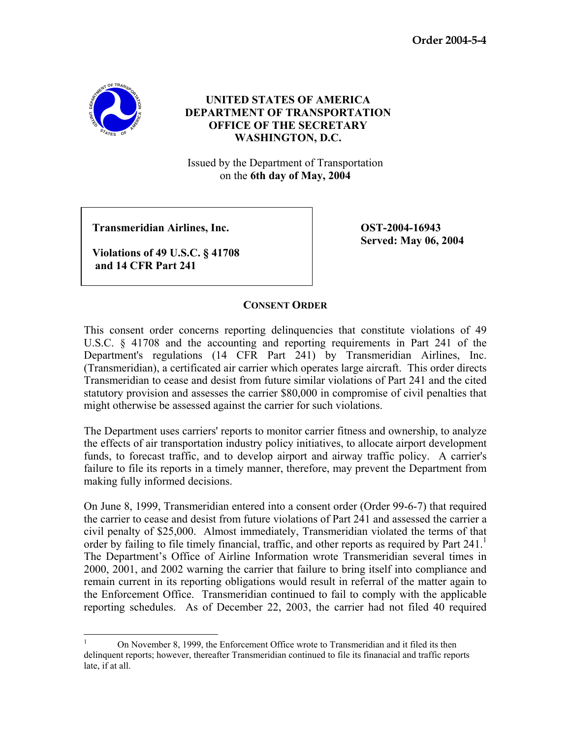**Order 2004-5-4** 



## **UNITED STATES OF AMERICA DEPARTMENT OF TRANSPORTATION OFFICE OF THE SECRETARY WASHINGTON, D.C.**

Issued by the Department of Transportation on the **6th day of May, 2004**

 **Transmeridian Airlines, Inc. OST-2004-16943** 

 **Violations of 49 U.S.C. § 41708 and 14 CFR Part 241**

**Served: May 06, 2004** 

## **CONSENT ORDER**

This consent order concerns reporting delinquencies that constitute violations of 49 U.S.C. § 41708 and the accounting and reporting requirements in Part 241 of the Department's regulations (14 CFR Part 241) by Transmeridian Airlines, Inc. (Transmeridian), a certificated air carrier which operates large aircraft. This order directs Transmeridian to cease and desist from future similar violations of Part 241 and the cited statutory provision and assesses the carrier \$80,000 in compromise of civil penalties that might otherwise be assessed against the carrier for such violations.

The Department uses carriers' reports to monitor carrier fitness and ownership, to analyze the effects of air transportation industry policy initiatives, to allocate airport development funds, to forecast traffic, and to develop airport and airway traffic policy. A carrier's failure to file its reports in a timely manner, therefore, may prevent the Department from making fully informed decisions.

On June 8, 1999, Transmeridian entered into a consent order (Order 99-6-7) that required the carrier to cease and desist from future violations of Part 241 and assessed the carrier a civil penalty of \$25,000. Almost immediately, Transmeridian violated the terms of that order by failing to file timely financial, traffic, and other reports as required by Part  $241<sup>1</sup>$ The Department's Office of Airline Information wrote Transmeridian several times in 2000, 2001, and 2002 warning the carrier that failure to bring itself into compliance and remain current in its reporting obligations would result in referral of the matter again to the Enforcement Office. Transmeridian continued to fail to comply with the applicable reporting schedules. As of December 22, 2003, the carrier had not filed 40 required

 $\frac{1}{1}$  On November 8, 1999, the Enforcement Office wrote to Transmeridian and it filed its then delinquent reports; however, thereafter Transmeridian continued to file its finanacial and traffic reports late, if at all.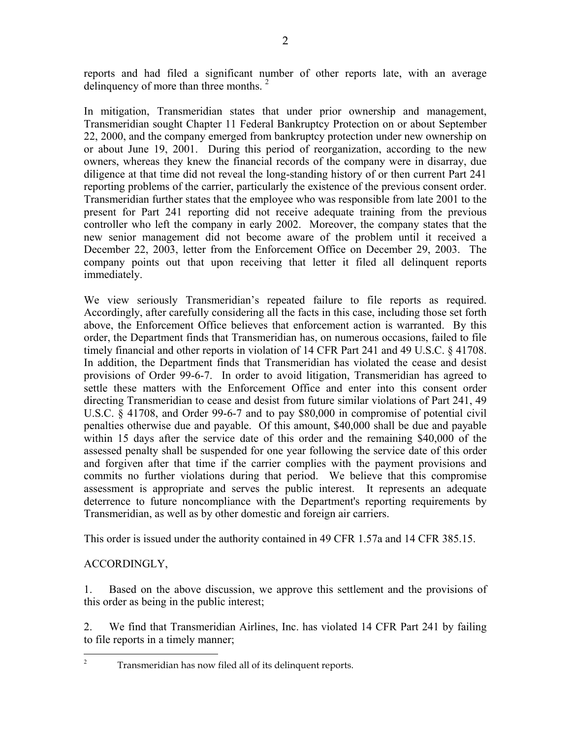reports and had filed a significant number of other reports late, with an average delinguency of more than three months.<sup>2</sup>

In mitigation, Transmeridian states that under prior ownership and management, Transmeridian sought Chapter 11 Federal Bankruptcy Protection on or about September 22, 2000, and the company emerged from bankruptcy protection under new ownership on or about June 19, 2001. During this period of reorganization, according to the new owners, whereas they knew the financial records of the company were in disarray, due diligence at that time did not reveal the long-standing history of or then current Part 241 reporting problems of the carrier, particularly the existence of the previous consent order. Transmeridian further states that the employee who was responsible from late 2001 to the present for Part 241 reporting did not receive adequate training from the previous controller who left the company in early 2002. Moreover, the company states that the new senior management did not become aware of the problem until it received a December 22, 2003, letter from the Enforcement Office on December 29, 2003. The company points out that upon receiving that letter it filed all delinquent reports immediately.

We view seriously Transmeridian's repeated failure to file reports as required. Accordingly, after carefully considering all the facts in this case, including those set forth above, the Enforcement Office believes that enforcement action is warranted. By this order, the Department finds that Transmeridian has, on numerous occasions, failed to file timely financial and other reports in violation of 14 CFR Part 241 and 49 U.S.C. § 41708. In addition, the Department finds that Transmeridian has violated the cease and desist provisions of Order 99-6-7. In order to avoid litigation, Transmeridian has agreed to settle these matters with the Enforcement Office and enter into this consent order directing Transmeridian to cease and desist from future similar violations of Part 241, 49 U.S.C. § 41708, and Order 99-6-7 and to pay \$80,000 in compromise of potential civil penalties otherwise due and payable. Of this amount, \$40,000 shall be due and payable within 15 days after the service date of this order and the remaining \$40,000 of the assessed penalty shall be suspended for one year following the service date of this order and forgiven after that time if the carrier complies with the payment provisions and commits no further violations during that period. We believe that this compromise assessment is appropriate and serves the public interest. It represents an adequate deterrence to future noncompliance with the Department's reporting requirements by Transmeridian, as well as by other domestic and foreign air carriers.

This order is issued under the authority contained in 49 CFR 1.57a and 14 CFR 385.15.

## ACCORDINGLY,

1. Based on the above discussion, we approve this settlement and the provisions of this order as being in the public interest;

2. We find that Transmeridian Airlines, Inc. has violated 14 CFR Part 241 by failing to file reports in a timely manner;

 $\frac{1}{2}$ Transmeridian has now filed all of its delinquent reports.